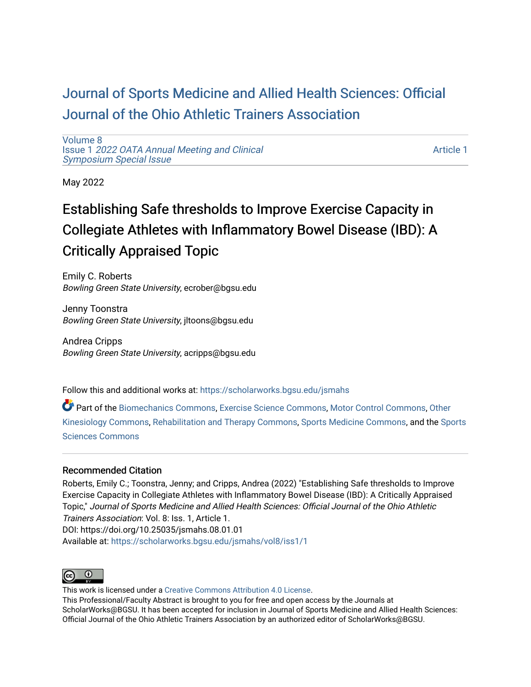## [Journal of Sports Medicine and Allied Health Sciences: Official](https://scholarworks.bgsu.edu/jsmahs)  [Journal of the Ohio Athletic Trainers Association](https://scholarworks.bgsu.edu/jsmahs)

[Volume 8](https://scholarworks.bgsu.edu/jsmahs/vol8) Issue 1 [2022 OATA Annual Meeting and Clinical](https://scholarworks.bgsu.edu/jsmahs/vol8/iss1) [Symposium Special Issue](https://scholarworks.bgsu.edu/jsmahs/vol8/iss1)

[Article 1](https://scholarworks.bgsu.edu/jsmahs/vol8/iss1/1) 

May 2022

# Establishing Safe thresholds to Improve Exercise Capacity in Collegiate Athletes with Inflammatory Bowel Disease (IBD): A Critically Appraised Topic

Emily C. Roberts Bowling Green State University, ecrober@bgsu.edu

Jenny Toonstra Bowling Green State University, jltoons@bgsu.edu

Andrea Cripps Bowling Green State University, acripps@bgsu.edu

Follow this and additional works at: [https://scholarworks.bgsu.edu/jsmahs](https://scholarworks.bgsu.edu/jsmahs?utm_source=scholarworks.bgsu.edu%2Fjsmahs%2Fvol8%2Fiss1%2F1&utm_medium=PDF&utm_campaign=PDFCoverPages)

Part of the [Biomechanics Commons,](https://network.bepress.com/hgg/discipline/43?utm_source=scholarworks.bgsu.edu%2Fjsmahs%2Fvol8%2Fiss1%2F1&utm_medium=PDF&utm_campaign=PDFCoverPages) [Exercise Science Commons](https://network.bepress.com/hgg/discipline/1091?utm_source=scholarworks.bgsu.edu%2Fjsmahs%2Fvol8%2Fiss1%2F1&utm_medium=PDF&utm_campaign=PDFCoverPages), [Motor Control Commons](https://network.bepress.com/hgg/discipline/45?utm_source=scholarworks.bgsu.edu%2Fjsmahs%2Fvol8%2Fiss1%2F1&utm_medium=PDF&utm_campaign=PDFCoverPages), Other [Kinesiology Commons,](https://network.bepress.com/hgg/discipline/47?utm_source=scholarworks.bgsu.edu%2Fjsmahs%2Fvol8%2Fiss1%2F1&utm_medium=PDF&utm_campaign=PDFCoverPages) [Rehabilitation and Therapy Commons](https://network.bepress.com/hgg/discipline/749?utm_source=scholarworks.bgsu.edu%2Fjsmahs%2Fvol8%2Fiss1%2F1&utm_medium=PDF&utm_campaign=PDFCoverPages), [Sports Medicine Commons](https://network.bepress.com/hgg/discipline/1331?utm_source=scholarworks.bgsu.edu%2Fjsmahs%2Fvol8%2Fiss1%2F1&utm_medium=PDF&utm_campaign=PDFCoverPages), and the [Sports](https://network.bepress.com/hgg/discipline/759?utm_source=scholarworks.bgsu.edu%2Fjsmahs%2Fvol8%2Fiss1%2F1&utm_medium=PDF&utm_campaign=PDFCoverPages)  [Sciences Commons](https://network.bepress.com/hgg/discipline/759?utm_source=scholarworks.bgsu.edu%2Fjsmahs%2Fvol8%2Fiss1%2F1&utm_medium=PDF&utm_campaign=PDFCoverPages) 

#### Recommended Citation

Roberts, Emily C.; Toonstra, Jenny; and Cripps, Andrea (2022) "Establishing Safe thresholds to Improve Exercise Capacity in Collegiate Athletes with Inflammatory Bowel Disease (IBD): A Critically Appraised Topic," Journal of Sports Medicine and Allied Health Sciences: Official Journal of the Ohio Athletic Trainers Association: Vol. 8: Iss. 1, Article 1. DOI: https://doi.org/10.25035/jsmahs.08.01.01 Available at: [https://scholarworks.bgsu.edu/jsmahs/vol8/iss1/1](https://scholarworks.bgsu.edu/jsmahs/vol8/iss1/1?utm_source=scholarworks.bgsu.edu%2Fjsmahs%2Fvol8%2Fiss1%2F1&utm_medium=PDF&utm_campaign=PDFCoverPages)



This work is licensed under a [Creative Commons Attribution 4.0 License](https://creativecommons.org/licenses/by/4.0/). This Professional/Faculty Abstract is brought to you for free and open access by the Journals at ScholarWorks@BGSU. It has been accepted for inclusion in Journal of Sports Medicine and Allied Health Sciences: Official Journal of the Ohio Athletic Trainers Association by an authorized editor of ScholarWorks@BGSU.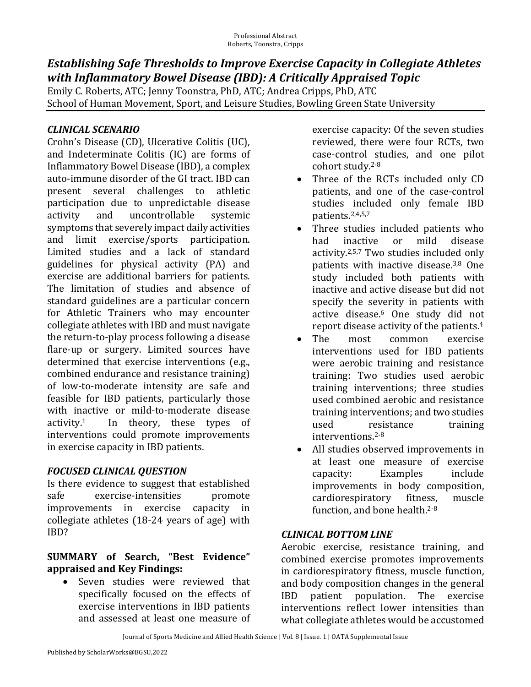### **Establishing Safe Thresholds to Improve Exercise Capacity in Collegiate Athletes** with Inflammatory Bowel Disease (IBD): A Critically Appraised Topic

Emily C. Roberts, ATC; Jenny Toonstra, PhD, ATC; Andrea Cripps, PhD, ATC School of Human Movement, Sport, and Leisure Studies, Bowling Green State University

#### *CLINICAL SCENARIO*

Crohn's Disease (CD), Ulcerative Colitis (UC), and Indeterminate Colitis (IC) are forms of Inflammatory Bowel Disease (IBD), a complex auto-immune disorder of the GI tract. IBD can present several challenges to athletic participation due to unpredictable disease activity and uncontrollable systemic symptoms that severely impact daily activities and limit exercise/sports participation. Limited studies and a lack of standard guidelines for physical activity (PA) and exercise are additional barriers for patients. The limitation of studies and absence of standard guidelines are a particular concern for Athletic Trainers who may encounter collegiate athletes with IBD and must navigate the return-to-play process following a disease flare-up or surgery. Limited sources have determined that exercise interventions (e.g., combined endurance and resistance training) of low-to-moderate intensity are safe and feasible for IBD patients, particularly those with inactive or mild-to-moderate disease activity. In theory, these types of interventions could promote improvements in exercise capacity in IBD patients.

#### *FOCUSED CLINICAL QUESTION*

Is there evidence to suggest that established safe exercise-intensities promote improvements in exercise capacity in collegiate athletes  $(18-24 \text{ years of age})$  with IBD?

#### **SUMMARY of Search, "Best Evidence" appraised and Key Findings:**

Seven studies were reviewed that specifically focused on the effects of exercise interventions in IBD patients and assessed at least one measure of

exercise capacity: Of the seven studies reviewed, there were four RCTs, two case-control studies, and one pilot cohort study.<sup>2-8</sup>

- Three of the RCTs included only CD patients, and one of the case-control studies included only female IBD patients.2,4,5,7
- Three studies included patients who had inactive or mild disease activity.<sup>2,5,7</sup> Two studies included only patients with inactive disease.<sup>3,8</sup> One study included both patients with inactive and active disease but did not specify the severity in patients with active disease.<sup>6</sup> One study did not report disease activity of the patients.<sup>4</sup>
- The most common exercise interventions used for IBD patients were aerobic training and resistance training: Two studies used aerobic training interventions; three studies used combined aerobic and resistance training interventions; and two studies used resistance training interventions.2-8
- All studies observed improvements in at least one measure of exercise capacity: Examples include improvements in body composition, cardiorespiratory fitness, muscle function, and bone health. $2-8$

#### *CLINICAL BOTTOM LINE*

Aerobic exercise, resistance training, and combined exercise promotes improvements in cardiorespiratory fitness, muscle function, and body composition changes in the general IBD patient population. The exercise interventions reflect lower intensities than what collegiate athletes would be accustomed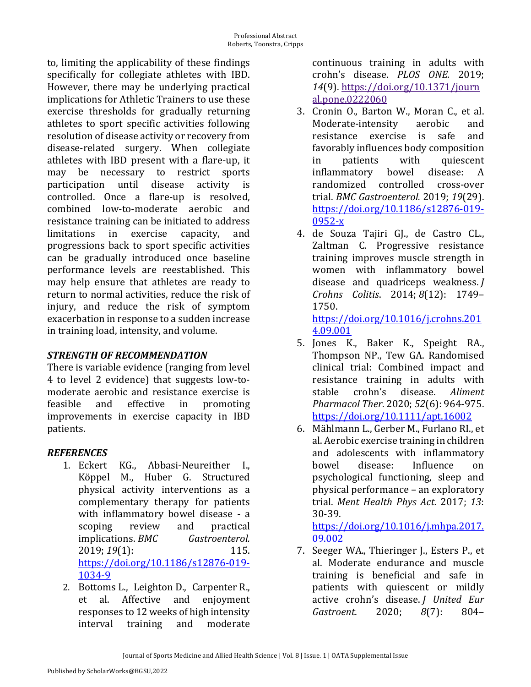to, limiting the applicability of these findings specifically for collegiate athletes with IBD. However, there may be underlying practical implications for Athletic Trainers to use these exercise thresholds for gradually returning athletes to sport specific activities following resolution of disease activity or recovery from disease-related surgery. When collegiate athletes with IBD present with a flare-up, it may be necessary to restrict sports participation until disease activity is controlled. Once a flare-up is resolved, combined low-to-moderate aerobic and resistance training can be initiated to address limitations in exercise capacity, and progressions back to sport specific activities can be gradually introduced once baseline performance levels are reestablished. This may help ensure that athletes are ready to return to normal activities, reduce the risk of injury, and reduce the risk of symptom exacerbation in response to a sudden increase in training load, intensity, and volume.

#### *STRENGTH OF RECOMMENDATION*

There is variable evidence (ranging from level 4 to level 2 evidence) that suggests low-tomoderate aerobic and resistance exercise is feasible and effective in promoting improvements in exercise capacity in IBD patients.

#### *REFERENCES*

- 1. Eckert KG., Abbasi-Neureither I., Köppel M., Huber G. Structured physical activity interventions as a complementary therapy for patients with inflammatory bowel disease - a scoping review and practical implications. *BMC Gastroenterol.* 2019; *19*(1): 115. https://doi.org/10.1186/s12876-019- 1034-9
- 2. Bottoms L., Leighton D., Carpenter R., et al. Affective and enjoyment responses to 12 weeks of high intensity interval training and moderate

continuous training in adults with crohn's disease. *PLOS ONE.*  2019; *14*(9). https://doi.org/10.1371/journ al.pone.0222060

- 3. Cronin O., Barton W., Moran C., et al. Moderate-intensity aerobic and resistance exercise is safe and favorably influences body composition in patients with quiescent inflammatory bowel disease: A randomized controlled cross-over trial. *BMC Gastroenterol.* 2019; *19*(29). https://doi.org/10.1186/s12876-019- 0952-x
- 4. de Souza Tajiri GJ., de Castro CL., Zaltman C. Progressive resistance training improves muscle strength in women with inflammatory bowel disease and quadriceps weakness. *J Crohns Colitis*. 2014; *8*(12): 1749– 1750.

https://doi.org/10.1016/j.crohns.201 4.09.001

- 5. Jones K., Baker K., Speight RA., Thompson NP., Tew GA. Randomised clinical trial: Combined impact and resistance training in adults with stable crohn's disease. *Aliment Pharmacol Ther*. 2020; *52*(6): 964-975. https://doi.org/10.1111/apt.16002
- 6. Mählmann L., Gerber M., Furlano RI., et al. Aerobic exercise training in children and adolescents with inflammatory bowel disease: Influence on psychological functioning, sleep and physical performance – an exploratory trial. Ment Health Phys Act. 2017; 13: 30-39.

https://doi.org/10.1016/j.mhpa.2017. 09.002

7. Seeger WA., Thieringer J., Esters P., et al. Moderate endurance and muscle training is beneficial and safe in patients with quiescent or mildly active crohn's disease. *J United Eur Gastroent*. 2020; *8*(7): 804–